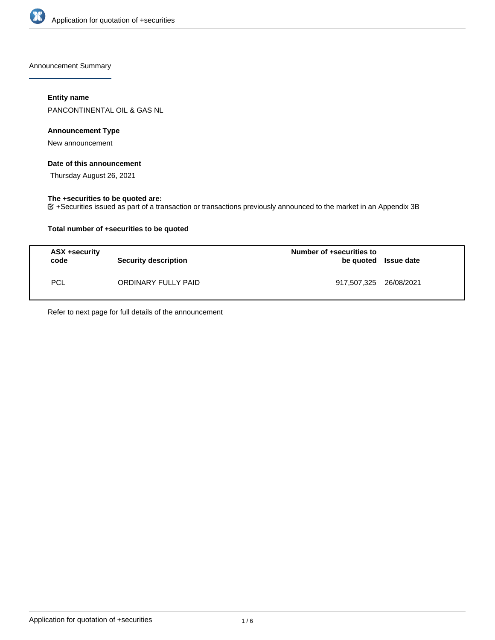

Announcement Summary

## **Entity name**

PANCONTINENTAL OIL & GAS NL

## **Announcement Type**

New announcement

## **Date of this announcement**

Thursday August 26, 2021

## **The +securities to be quoted are:**

+Securities issued as part of a transaction or transactions previously announced to the market in an Appendix 3B

## **Total number of +securities to be quoted**

| ASX +security<br>code | Security description | Number of +securities to<br>be quoted Issue date |  |
|-----------------------|----------------------|--------------------------------------------------|--|
| <b>PCL</b>            | ORDINARY FULLY PAID  | 917,507,325 26/08/2021                           |  |

Refer to next page for full details of the announcement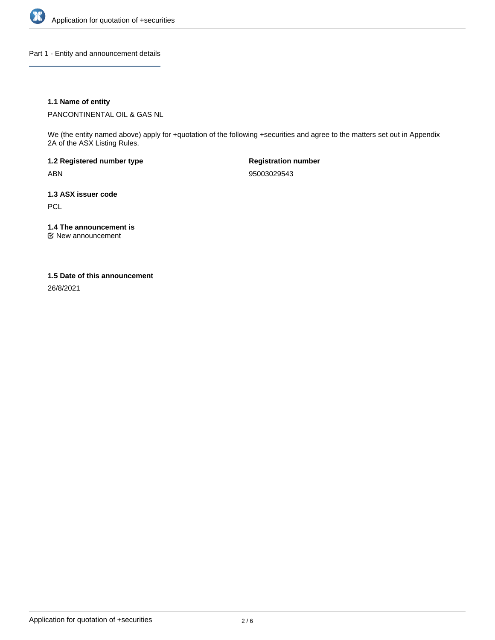

Part 1 - Entity and announcement details

## **1.1 Name of entity**

PANCONTINENTAL OIL & GAS NL

We (the entity named above) apply for +quotation of the following +securities and agree to the matters set out in Appendix 2A of the ASX Listing Rules.

**1.2 Registered number type** ABN

**Registration number** 95003029543

**1.3 ASX issuer code PCL** 

**1.4 The announcement is**

New announcement

### **1.5 Date of this announcement**

26/8/2021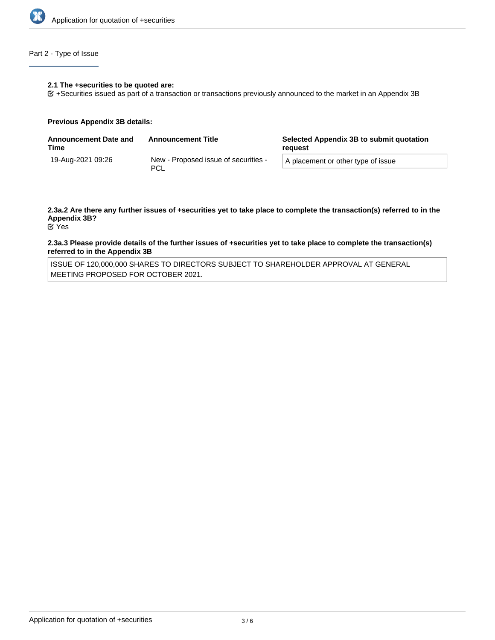

## Part 2 - Type of Issue

### **2.1 The +securities to be quoted are:**

+Securities issued as part of a transaction or transactions previously announced to the market in an Appendix 3B

### **Previous Appendix 3B details:**

| <b>Announcement Date and</b><br>Time | <b>Announcement Title</b>                   | Selected Appendix 3B to submit quotation<br>reguest |
|--------------------------------------|---------------------------------------------|-----------------------------------------------------|
| 19-Aug-2021 09:26                    | New - Proposed issue of securities -<br>PCL | A placement or other type of issue                  |

# **2.3a.2 Are there any further issues of +securities yet to take place to complete the transaction(s) referred to in the Appendix 3B?**

Yes

### **2.3a.3 Please provide details of the further issues of +securities yet to take place to complete the transaction(s) referred to in the Appendix 3B**

ISSUE OF 120,000,000 SHARES TO DIRECTORS SUBJECT TO SHAREHOLDER APPROVAL AT GENERAL MEETING PROPOSED FOR OCTOBER 2021.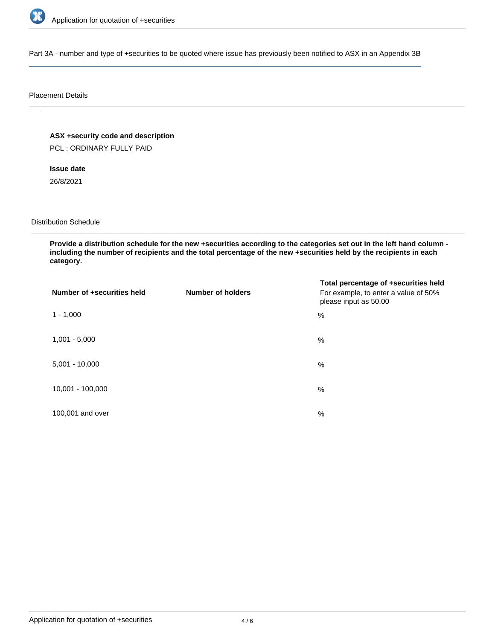

Part 3A - number and type of +securities to be quoted where issue has previously been notified to ASX in an Appendix 3B

### Placement Details

**ASX +security code and description** PCL : ORDINARY FULLY PAID

**Issue date** 26/8/2021

Distribution Schedule

**Provide a distribution schedule for the new +securities according to the categories set out in the left hand column including the number of recipients and the total percentage of the new +securities held by the recipients in each category.**

| Number of +securities held | <b>Number of holders</b> | Total percentage of +securities held<br>For example, to enter a value of 50%<br>please input as 50.00 |
|----------------------------|--------------------------|-------------------------------------------------------------------------------------------------------|
| $1 - 1,000$                |                          | %                                                                                                     |
| $1,001 - 5,000$            |                          | $\%$                                                                                                  |
| $5,001 - 10,000$           |                          | %                                                                                                     |
| 10,001 - 100,000           |                          | %                                                                                                     |
| 100,001 and over           |                          | $\%$                                                                                                  |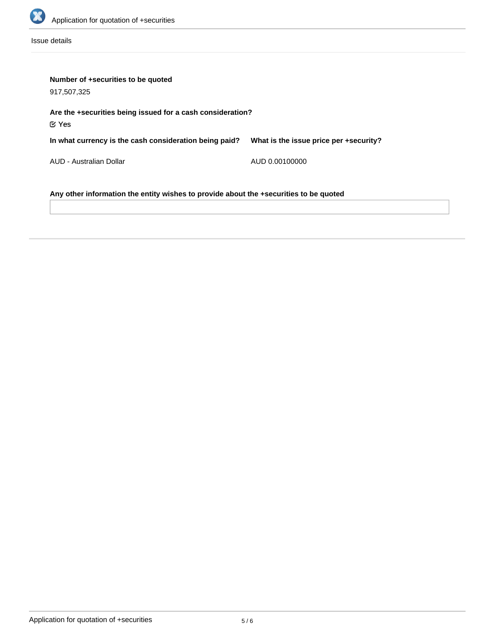

Issue details

| Number of +securities to be quoted                                                    |                                        |  |  |  |
|---------------------------------------------------------------------------------------|----------------------------------------|--|--|--|
| 917,507,325                                                                           |                                        |  |  |  |
| Are the +securities being issued for a cash consideration?<br>$\mathfrak C$ Yes       |                                        |  |  |  |
| In what currency is the cash consideration being paid?                                | What is the issue price per +security? |  |  |  |
| AUD - Australian Dollar                                                               | AUD 0.00100000                         |  |  |  |
| Any other information the entity wishes to provide about the +securities to be quoted |                                        |  |  |  |